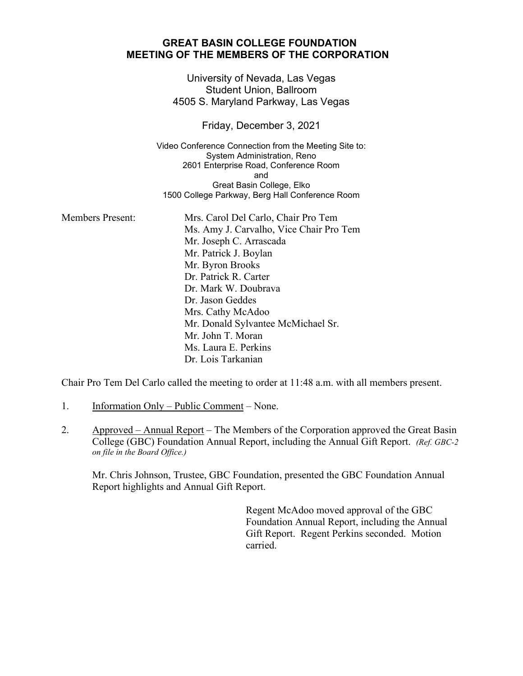## **GREAT BASIN COLLEGE FOUNDATION MEETING OF THE MEMBERS OF THE CORPORATION**

University of Nevada, Las Vegas Student Union, Ballroom 4505 S. Maryland Parkway, Las Vegas

Friday, December 3, 2021

Video Conference Connection from the Meeting Site to: System Administration, Reno 2601 Enterprise Road, Conference Room and Great Basin College, Elko 1500 College Parkway, Berg Hall Conference Room

| <b>Members Present:</b> | Mrs. Carol Del Carlo, Chair Pro Tem     |
|-------------------------|-----------------------------------------|
|                         | Ms. Amy J. Carvalho, Vice Chair Pro Tem |
|                         | Mr. Joseph C. Arrascada                 |
|                         | Mr. Patrick J. Boylan                   |
|                         | Mr. Byron Brooks                        |
|                         | Dr. Patrick R. Carter                   |
|                         | Dr. Mark W. Doubrava                    |
|                         | Dr. Jason Geddes                        |
|                         | Mrs. Cathy McAdoo                       |
|                         | Mr. Donald Sylvantee McMichael Sr.      |
|                         | Mr. John T. Moran                       |
|                         | Ms. Laura E. Perkins                    |
|                         | Dr. Lois Tarkanian                      |

Chair Pro Tem Del Carlo called the meeting to order at 11:48 a.m. with all members present.

- 1. Information Only Public Comment None.
- 2. Approved Annual Report The Members of the Corporation approved the Great Basin College (GBC) Foundation Annual Report, including the Annual Gift Report. *(Ref. GBC-2 on file in the Board Office.)*

Mr. Chris Johnson, Trustee, GBC Foundation, presented the GBC Foundation Annual Report highlights and Annual Gift Report.

> Regent McAdoo moved approval of the GBC Foundation Annual Report, including the Annual Gift Report. Regent Perkins seconded. Motion carried.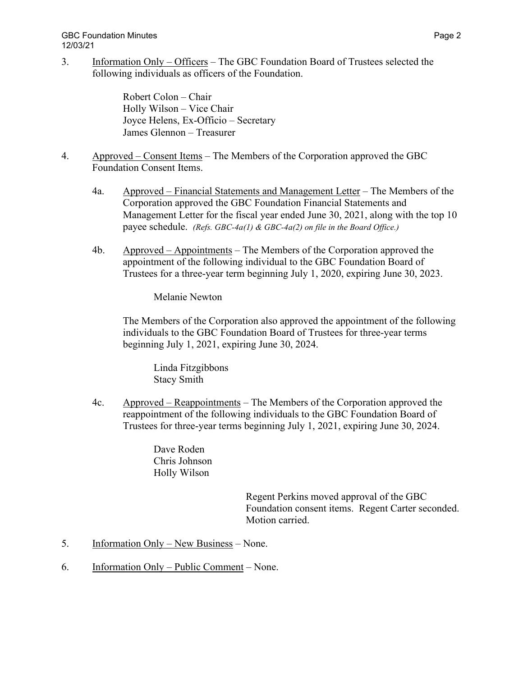GBC Foundation Minutes **Page 2** and the state of the state of the state of the state of the state of the state of the state of the state of the state of the state of the state of the state of the state of the state of the 12/03/21

3. Information Only – Officers – The GBC Foundation Board of Trustees selected the following individuals as officers of the Foundation.

> Robert Colon – Chair Holly Wilson – Vice Chair Joyce Helens, Ex-Officio – Secretary James Glennon – Treasurer

- 4. Approved Consent Items The Members of the Corporation approved the GBC Foundation Consent Items.
	- 4a. Approved Financial Statements and Management Letter The Members of the Corporation approved the GBC Foundation Financial Statements and Management Letter for the fiscal year ended June 30, 2021, along with the top 10 payee schedule. *(Refs. GBC-4a(1) & GBC-4a(2) on file in the Board Office.)*
	- 4b. Approved Appointments The Members of the Corporation approved the appointment of the following individual to the GBC Foundation Board of Trustees for a three-year term beginning July 1, 2020, expiring June 30, 2023.

Melanie Newton

The Members of the Corporation also approved the appointment of the following individuals to the GBC Foundation Board of Trustees for three-year terms beginning July 1, 2021, expiring June 30, 2024.

Linda Fitzgibbons Stacy Smith

4c. Approved – Reappointments – The Members of the Corporation approved the reappointment of the following individuals to the GBC Foundation Board of Trustees for three-year terms beginning July 1, 2021, expiring June 30, 2024.

> Dave Roden Chris Johnson Holly Wilson

> > Regent Perkins moved approval of the GBC Foundation consent items. Regent Carter seconded. Motion carried.

- 5. Information Only New Business None.
- 6. Information Only Public Comment None.